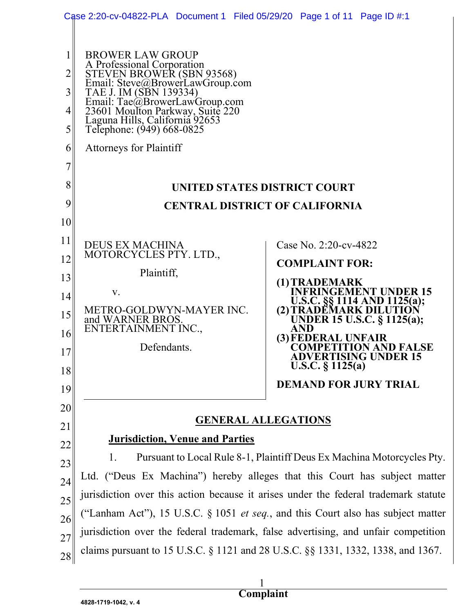|                                                          | Case 2:20-cv-04822-PLA Document 1 Filed 05/29/20 Page 1 of 11 Page ID #:1                                                                                                                                                                                                           |                                                                                                                                                                                                                                                                                                                                 |  |
|----------------------------------------------------------|-------------------------------------------------------------------------------------------------------------------------------------------------------------------------------------------------------------------------------------------------------------------------------------|---------------------------------------------------------------------------------------------------------------------------------------------------------------------------------------------------------------------------------------------------------------------------------------------------------------------------------|--|
| 2<br>3<br>4<br>5                                         | <b>BROWER LAW GROUP</b><br>A Professional Corporation<br>STEVEN BROWER (SBN 93568)<br>Email: Steve@BrowerLawGroup.com<br>TAE J. IM (SBN 139334)<br>Email: Tae@BrowerLawGroup.com<br>23601 Moulton Parkway, Suite 220<br>Laguna Hills, California 92653<br>Telephone: (949) 668-0825 |                                                                                                                                                                                                                                                                                                                                 |  |
| 6                                                        | <b>Attorneys for Plaintiff</b>                                                                                                                                                                                                                                                      |                                                                                                                                                                                                                                                                                                                                 |  |
| 7                                                        |                                                                                                                                                                                                                                                                                     |                                                                                                                                                                                                                                                                                                                                 |  |
| 8                                                        | UNITED STATES DISTRICT COURT                                                                                                                                                                                                                                                        |                                                                                                                                                                                                                                                                                                                                 |  |
| 9                                                        | <b>CENTRAL DISTRICT OF CALIFORNIA</b>                                                                                                                                                                                                                                               |                                                                                                                                                                                                                                                                                                                                 |  |
| 10<br>11<br>12<br>13<br>14<br>15<br>16<br>17<br>18<br>19 | <b>DEUS EX MACHINA</b><br>MOTORCYCLES PTY. LTD.,<br>Plaintiff,<br>V.<br>METRO-GOLDWYN-MAYER INC.<br>and WARNER BROS.<br>ENTERTAINMENT INC.,<br>Defendants.                                                                                                                          | Case No. 2:20-cv-4822<br><b>COMPLAINT FOR:</b><br>(1) TRADEMARK<br><b>INFRINGEMENT UNDER 15</b><br>U.S.C. §§ 1114 AND 1125(a);<br>(2) TRADEMARK DILUTION<br>UNDER 15 U.S.C. § 1125(a);<br><b>AND</b><br>(3) FEDERAL UNFAIR<br>COMPETITION AND FALSE<br>ADVERTISING UNDER 15<br>U.S.C. § 1125(a)<br><b>DEMAND FOR JURY TRIAL</b> |  |
| 20                                                       |                                                                                                                                                                                                                                                                                     |                                                                                                                                                                                                                                                                                                                                 |  |
| 21                                                       | <b>GENERAL ALLEGATIONS</b>                                                                                                                                                                                                                                                          |                                                                                                                                                                                                                                                                                                                                 |  |
| 22                                                       | <b>Jurisdiction, Venue and Parties</b>                                                                                                                                                                                                                                              |                                                                                                                                                                                                                                                                                                                                 |  |
| 23                                                       | Pursuant to Local Rule 8-1, Plaintiff Deus Ex Machina Motorcycles Pty.<br>1.                                                                                                                                                                                                        |                                                                                                                                                                                                                                                                                                                                 |  |
| 24                                                       | Ltd. ("Deus Ex Machina") hereby alleges that this Court has subject matter                                                                                                                                                                                                          |                                                                                                                                                                                                                                                                                                                                 |  |
| 25                                                       | jurisdiction over this action because it arises under the federal trademark statute                                                                                                                                                                                                 |                                                                                                                                                                                                                                                                                                                                 |  |
| 26                                                       | ("Lanham Act"), 15 U.S.C. § 1051 <i>et seq.</i> , and this Court also has subject matter                                                                                                                                                                                            |                                                                                                                                                                                                                                                                                                                                 |  |
| 27                                                       | jurisdiction over the federal trademark, false advertising, and unfair competition                                                                                                                                                                                                  |                                                                                                                                                                                                                                                                                                                                 |  |
| 28                                                       | claims pursuant to 15 U.S.C. § 1121 and 28 U.S.C. §§ 1331, 1332, 1338, and 1367.                                                                                                                                                                                                    |                                                                                                                                                                                                                                                                                                                                 |  |

 $\frac{1}{1}$ **Complaint**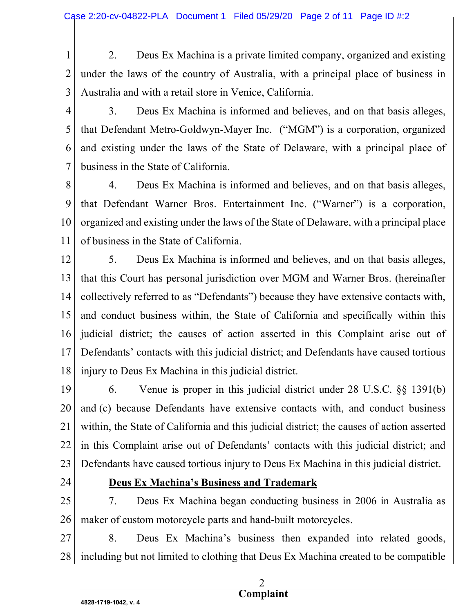1 2 3 2. Deus Ex Machina is a private limited company, organized and existing under the laws of the country of Australia, with a principal place of business in Australia and with a retail store in Venice, California.

4

5

6

7

3. Deus Ex Machina is informed and believes, and on that basis alleges, that Defendant Metro-Goldwyn-Mayer Inc. ("MGM") is a corporation, organized and existing under the laws of the State of Delaware, with a principal place of business in the State of California.

8 9 10 11 4. Deus Ex Machina is informed and believes, and on that basis alleges, that Defendant Warner Bros. Entertainment Inc. ("Warner") is a corporation, organized and existing under the laws of the State of Delaware, with a principal place of business in the State of California.

12 13 14 15 16 17 18 5. Deus Ex Machina is informed and believes, and on that basis alleges, that this Court has personal jurisdiction over MGM and Warner Bros. (hereinafter collectively referred to as "Defendants") because they have extensive contacts with, and conduct business within, the State of California and specifically within this judicial district; the causes of action asserted in this Complaint arise out of Defendants' contacts with this judicial district; and Defendants have caused tortious injury to Deus Ex Machina in this judicial district.

19 20 21 22 23 6. Venue is proper in this judicial district under 28 U.S.C. §§ 1391(b) and (c) because Defendants have extensive contacts with, and conduct business within, the State of California and this judicial district; the causes of action asserted in this Complaint arise out of Defendants' contacts with this judicial district; and Defendants have caused tortious injury to Deus Ex Machina in this judicial district.

24

### Deus Ex Machina's Business and Trademark

25 26 7. Deus Ex Machina began conducting business in 2006 in Australia as maker of custom motorcycle parts and hand-built motorcycles.

27 28 8. Deus Ex Machina's business then expanded into related goods, including but not limited to clothing that Deus Ex Machina created to be compatible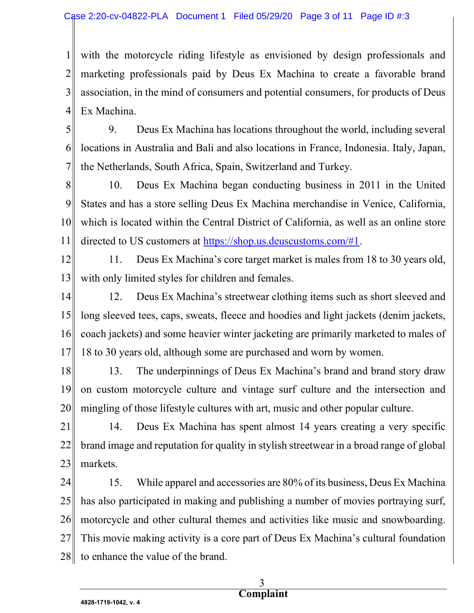1 2 3 4 with the motorcycle riding lifestyle as envisioned by design professionals and marketing professionals paid by Deus Ex Machina to create a favorable brand association, in the mind of consumers and potential consumers, for products of Deus Ex Machina.

5 6 7 9. Deus Ex Machina has locations throughout the world, including several locations in Australia and Bali and also locations in France, Indonesia. Italy, Japan, the Netherlands, South Africa, Spain, Switzerland and Turkey.

8 9 10 11 10. Deus Ex Machina began conducting business in 2011 in the United States and has a store selling Deus Ex Machina merchandise in Venice, California, which is located within the Central District of California, as well as an online store directed to US customers at https://shop.us.deuscustoms.com/#1.

12

13

11. Deus Ex Machina's core target market is males from 18 to 30 years old, with only limited styles for children and females.

14 15 16 17 12. Deus Ex Machina's streetwear clothing items such as short sleeved and long sleeved tees, caps, sweats, fleece and hoodies and light jackets (denim jackets, coach jackets) and some heavier winter jacketing are primarily marketed to males of 18 to 30 years old, although some are purchased and worn by women.

18 19 20 13. The underpinnings of Deus Ex Machina's brand and brand story draw on custom motorcycle culture and vintage surf culture and the intersection and mingling of those lifestyle cultures with art, music and other popular culture.

21 22 23 14. Deus Ex Machina has spent almost 14 years creating a very specific brand image and reputation for quality in stylish streetwear in a broad range of global markets.

24 25 26 27 28 15. While apparel and accessories are 80% of its business, Deus Ex Machina has also participated in making and publishing a number of movies portraying surf, motorcycle and other cultural themes and activities like music and snowboarding. This movie making activity is a core part of Deus Ex Machina's cultural foundation to enhance the value of the brand.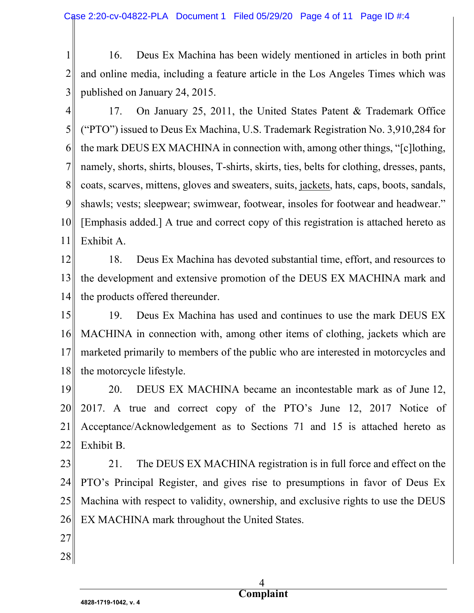1 2 3 16. Deus Ex Machina has been widely mentioned in articles in both print and online media, including a feature article in the Los Angeles Times which was published on January 24, 2015.

4 5 6 7 8 9 10 11 17. On January 25, 2011, the United States Patent & Trademark Office ("PTO") issued to Deus Ex Machina, U.S. Trademark Registration No. 3,910,284 for the mark DEUS EX MACHINA in connection with, among other things, "[c]lothing, namely, shorts, shirts, blouses, T-shirts, skirts, ties, belts for clothing, dresses, pants, coats, scarves, mittens, gloves and sweaters, suits, jackets, hats, caps, boots, sandals, shawls; vests; sleepwear; swimwear, footwear, insoles for footwear and headwear." [Emphasis added.] A true and correct copy of this registration is attached hereto as Exhibit A.

12 13 14 18. Deus Ex Machina has devoted substantial time, effort, and resources to the development and extensive promotion of the DEUS EX MACHINA mark and the products offered thereunder.

15 16 17 18 19. Deus Ex Machina has used and continues to use the mark DEUS EX MACHINA in connection with, among other items of clothing, jackets which are marketed primarily to members of the public who are interested in motorcycles and the motorcycle lifestyle.

19 20 21 22 20. DEUS EX MACHINA became an incontestable mark as of June 12, 2017. A true and correct copy of the PTO's June 12, 2017 Notice of Acceptance/Acknowledgement as to Sections 71 and 15 is attached hereto as Exhibit B.

23 24 25 26 21. The DEUS EX MACHINA registration is in full force and effect on the PTO's Principal Register, and gives rise to presumptions in favor of Deus Ex Machina with respect to validity, ownership, and exclusive rights to use the DEUS EX MACHINA mark throughout the United States.

- 27
- 28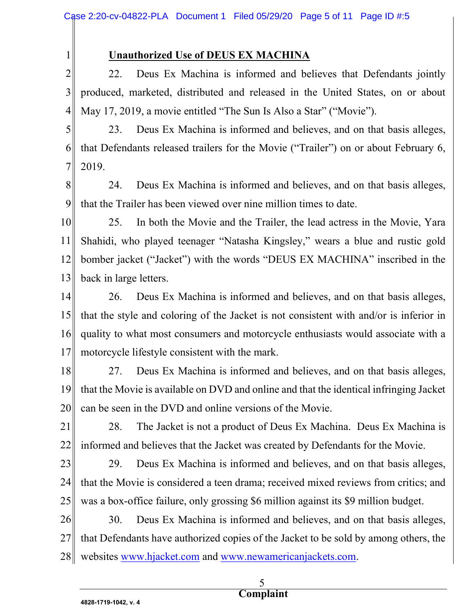Unauthorized Use of DEUS EX MACHINA

2 3 4 22. Deus Ex Machina is informed and believes that Defendants jointly produced, marketed, distributed and released in the United States, on or about May 17, 2019, a movie entitled "The Sun Is Also a Star" ("Movie").

5 6 7 23. Deus Ex Machina is informed and believes, and on that basis alleges, that Defendants released trailers for the Movie ("Trailer") on or about February 6, 2019.

8 9 24. Deus Ex Machina is informed and believes, and on that basis alleges, that the Trailer has been viewed over nine million times to date.

10 11 12 13 25. In both the Movie and the Trailer, the lead actress in the Movie, Yara Shahidi, who played teenager "Natasha Kingsley," wears a blue and rustic gold bomber jacket ("Jacket") with the words "DEUS EX MACHINA" inscribed in the back in large letters.

14 15 16 17 26. Deus Ex Machina is informed and believes, and on that basis alleges, that the style and coloring of the Jacket is not consistent with and/or is inferior in quality to what most consumers and motorcycle enthusiasts would associate with a motorcycle lifestyle consistent with the mark.

18 19 20 27. Deus Ex Machina is informed and believes, and on that basis alleges, that the Movie is available on DVD and online and that the identical infringing Jacket can be seen in the DVD and online versions of the Movie.

21 22 28. The Jacket is not a product of Deus Ex Machina. Deus Ex Machina is informed and believes that the Jacket was created by Defendants for the Movie.

23

1

24 25 29. Deus Ex Machina is informed and believes, and on that basis alleges, that the Movie is considered a teen drama; received mixed reviews from critics; and was a box-office failure, only grossing \$6 million against its \$9 million budget.

26 27 28 30. Deus Ex Machina is informed and believes, and on that basis alleges, that Defendants have authorized copies of the Jacket to be sold by among others, the websites www.hjacket.com and www.newamericanjackets.com.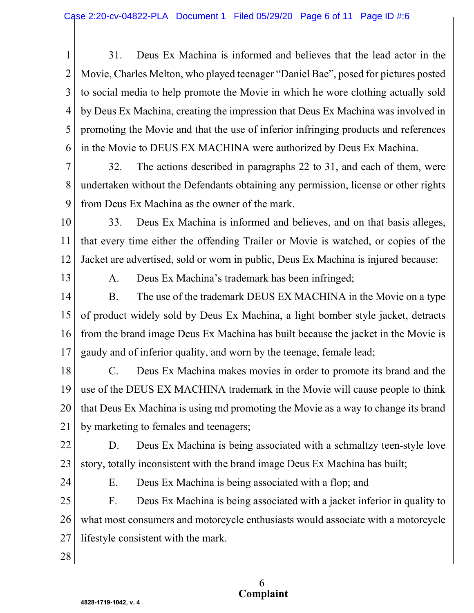1 2 3 4 5 6 31. Deus Ex Machina is informed and believes that the lead actor in the Movie, Charles Melton, who played teenager "Daniel Bae", posed for pictures posted to social media to help promote the Movie in which he wore clothing actually sold by Deus Ex Machina, creating the impression that Deus Ex Machina was involved in promoting the Movie and that the use of inferior infringing products and references in the Movie to DEUS EX MACHINA were authorized by Deus Ex Machina.

7 8 9 32. The actions described in paragraphs 22 to 31, and each of them, were undertaken without the Defendants obtaining any permission, license or other rights from Deus Ex Machina as the owner of the mark.

10 11 12 33. Deus Ex Machina is informed and believes, and on that basis alleges, that every time either the offending Trailer or Movie is watched, or copies of the Jacket are advertised, sold or worn in public, Deus Ex Machina is injured because:

13

A. Deus Ex Machina's trademark has been infringed;

14 15 16 17 B. The use of the trademark DEUS EX MACHINA in the Movie on a type of product widely sold by Deus Ex Machina, a light bomber style jacket, detracts from the brand image Deus Ex Machina has built because the jacket in the Movie is gaudy and of inferior quality, and worn by the teenage, female lead;

18 19 20 21 C. Deus Ex Machina makes movies in order to promote its brand and the use of the DEUS EX MACHINA trademark in the Movie will cause people to think that Deus Ex Machina is using md promoting the Movie as a way to change its brand by marketing to females and teenagers;

22 23 D. Deus Ex Machina is being associated with a schmaltzy teen-style love story, totally inconsistent with the brand image Deus Ex Machina has built;

24

E. Deus Ex Machina is being associated with a flop; and

25 26 27 F. Deus Ex Machina is being associated with a jacket inferior in quality to what most consumers and motorcycle enthusiasts would associate with a motorcycle lifestyle consistent with the mark.

28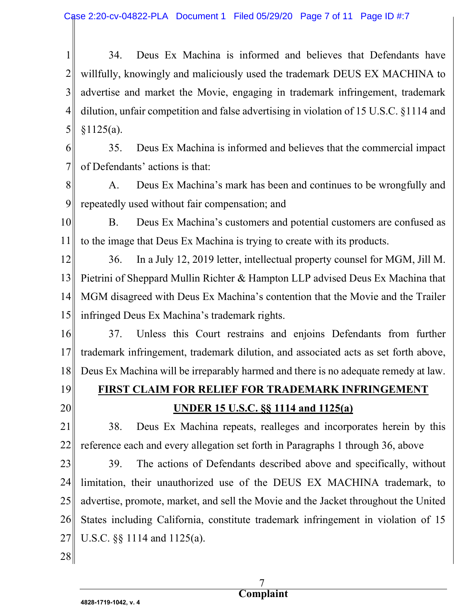1 2 3 4 5 34. Deus Ex Machina is informed and believes that Defendants have willfully, knowingly and maliciously used the trademark DEUS EX MACHINA to advertise and market the Movie, engaging in trademark infringement, trademark dilution, unfair competition and false advertising in violation of 15 U.S.C. §1114 and  $§1125(a).$ 

6 7 35. Deus Ex Machina is informed and believes that the commercial impact of Defendants' actions is that:

8 9 A. Deus Ex Machina's mark has been and continues to be wrongfully and repeatedly used without fair compensation; and

10 11 B. Deus Ex Machina's customers and potential customers are confused as to the image that Deus Ex Machina is trying to create with its products.

12 13 14 15 36. In a July 12, 2019 letter, intellectual property counsel for MGM, Jill M. Pietrini of Sheppard Mullin Richter & Hampton LLP advised Deus Ex Machina that MGM disagreed with Deus Ex Machina's contention that the Movie and the Trailer infringed Deus Ex Machina's trademark rights.

16 17 18 37. Unless this Court restrains and enjoins Defendants from further trademark infringement, trademark dilution, and associated acts as set forth above, Deus Ex Machina will be irreparably harmed and there is no adequate remedy at law.

19

20

FIRST CLAIM FOR RELIEF FOR TRADEMARK INFRINGEMENT UNDER 15 U.S.C. §§ 1114 and 1125(a)

21 22 38. Deus Ex Machina repeats, realleges and incorporates herein by this reference each and every allegation set forth in Paragraphs 1 through 36, above

23 24 25 26 27 39. The actions of Defendants described above and specifically, without limitation, their unauthorized use of the DEUS EX MACHINA trademark, to advertise, promote, market, and sell the Movie and the Jacket throughout the United States including California, constitute trademark infringement in violation of 15 U.S.C. §§ 1114 and 1125(a).

28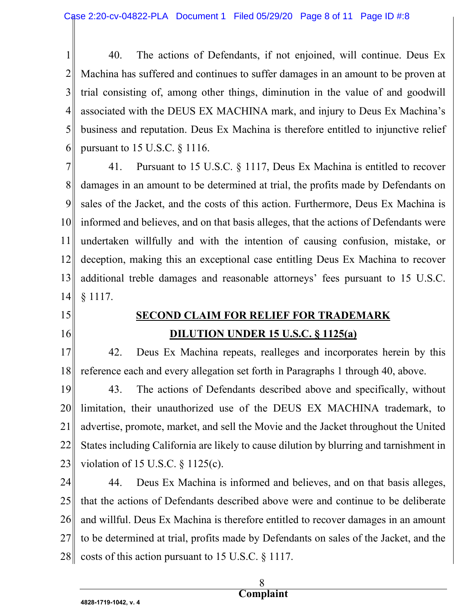1 2 3 4 5 6 40. The actions of Defendants, if not enjoined, will continue. Deus Ex Machina has suffered and continues to suffer damages in an amount to be proven at trial consisting of, among other things, diminution in the value of and goodwill associated with the DEUS EX MACHINA mark, and injury to Deus Ex Machina's business and reputation. Deus Ex Machina is therefore entitled to injunctive relief pursuant to 15 U.S.C. § 1116.

7 8 9 10 11 12 13 14 41. Pursuant to 15 U.S.C. § 1117, Deus Ex Machina is entitled to recover damages in an amount to be determined at trial, the profits made by Defendants on sales of the Jacket, and the costs of this action. Furthermore, Deus Ex Machina is informed and believes, and on that basis alleges, that the actions of Defendants were undertaken willfully and with the intention of causing confusion, mistake, or deception, making this an exceptional case entitling Deus Ex Machina to recover additional treble damages and reasonable attorneys' fees pursuant to 15 U.S.C. § 1117.

- 15
- 16

### SECOND CLAIM FOR RELIEF FOR TRADEMARK DILUTION UNDER 15 U.S.C. § 1125(a)

17 18 42. Deus Ex Machina repeats, realleges and incorporates herein by this reference each and every allegation set forth in Paragraphs 1 through 40, above.

19 20 21 22 23 43. The actions of Defendants described above and specifically, without limitation, their unauthorized use of the DEUS EX MACHINA trademark, to advertise, promote, market, and sell the Movie and the Jacket throughout the United States including California are likely to cause dilution by blurring and tarnishment in violation of 15 U.S.C. § 1125(c).

24 25 26 27 28 44. Deus Ex Machina is informed and believes, and on that basis alleges, that the actions of Defendants described above were and continue to be deliberate and willful. Deus Ex Machina is therefore entitled to recover damages in an amount to be determined at trial, profits made by Defendants on sales of the Jacket, and the costs of this action pursuant to 15 U.S.C. § 1117.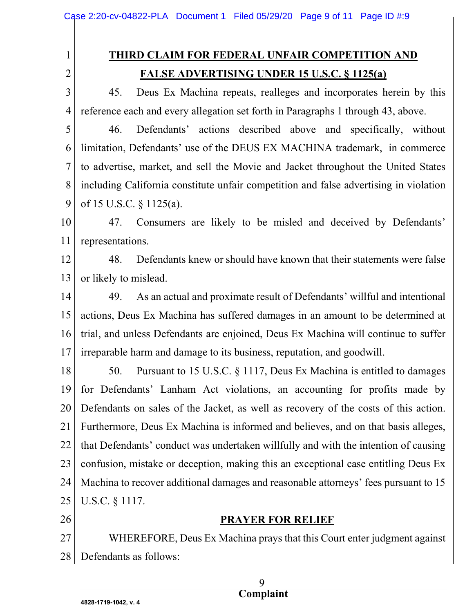# THIRD CLAIM FOR FEDERAL UNFAIR COMPETITION AND

2

1

## FALSE ADVERTISING UNDER 15 U.S.C. § 1125(a)

3 4 45. Deus Ex Machina repeats, realleges and incorporates herein by this reference each and every allegation set forth in Paragraphs 1 through 43, above.

5 6 7 8 9 46. Defendants' actions described above and specifically, without limitation, Defendants' use of the DEUS EX MACHINA trademark, in commerce to advertise, market, and sell the Movie and Jacket throughout the United States including California constitute unfair competition and false advertising in violation of 15 U.S.C. § 1125(a).

10 11 47. Consumers are likely to be misled and deceived by Defendants' representations.

12 13 48. Defendants knew or should have known that their statements were false or likely to mislead.

14 15 16 17 49. As an actual and proximate result of Defendants' willful and intentional actions, Deus Ex Machina has suffered damages in an amount to be determined at trial, and unless Defendants are enjoined, Deus Ex Machina will continue to suffer irreparable harm and damage to its business, reputation, and goodwill.

18 19 20 21 22 23 24 25 50. Pursuant to 15 U.S.C. § 1117, Deus Ex Machina is entitled to damages for Defendants' Lanham Act violations, an accounting for profits made by Defendants on sales of the Jacket, as well as recovery of the costs of this action. Furthermore, Deus Ex Machina is informed and believes, and on that basis alleges, that Defendants' conduct was undertaken willfully and with the intention of causing confusion, mistake or deception, making this an exceptional case entitling Deus Ex Machina to recover additional damages and reasonable attorneys' fees pursuant to 15 U.S.C. § 1117.

### 26

### PRAYER FOR RELIEF

27 28 WHEREFORE, Deus Ex Machina prays that this Court enter judgment against Defendants as follows: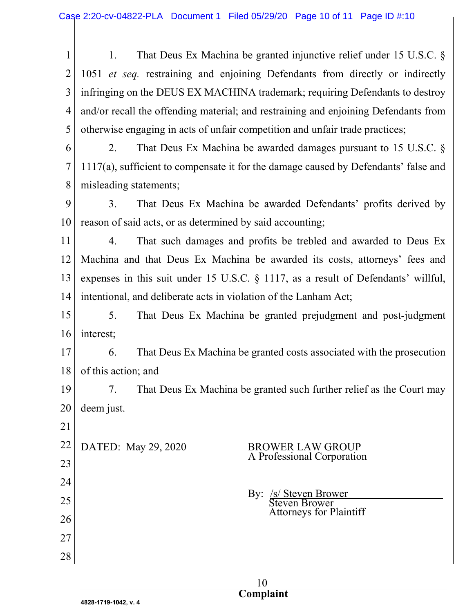1 2 3 4 5 1. That Deus Ex Machina be granted injunctive relief under 15 U.S.C. § 1051 et seq. restraining and enjoining Defendants from directly or indirectly infringing on the DEUS EX MACHINA trademark; requiring Defendants to destroy and/or recall the offending material; and restraining and enjoining Defendants from otherwise engaging in acts of unfair competition and unfair trade practices;

6 7 8 2. That Deus Ex Machina be awarded damages pursuant to 15 U.S.C. § 1117(a), sufficient to compensate it for the damage caused by Defendants' false and misleading statements;

9 10 3. That Deus Ex Machina be awarded Defendants' profits derived by reason of said acts, or as determined by said accounting;

11 12 13 14 4. That such damages and profits be trebled and awarded to Deus Ex Machina and that Deus Ex Machina be awarded its costs, attorneys' fees and expenses in this suit under 15 U.S.C. § 1117, as a result of Defendants' willful, intentional, and deliberate acts in violation of the Lanham Act;

15 16 5. That Deus Ex Machina be granted prejudgment and post-judgment interest;

17 18 6. That Deus Ex Machina be granted costs associated with the prosecution of this action; and

19 20 7. That Deus Ex Machina be granted such further relief as the Court may deem just.

22

21

23

24

25

26

27

28

#### DATED: May 29, 2020 BROWER LAW GROUP A Professional Corporation

By: /s/ Steven Brower Steven Brower Attorneys for Plaintiff